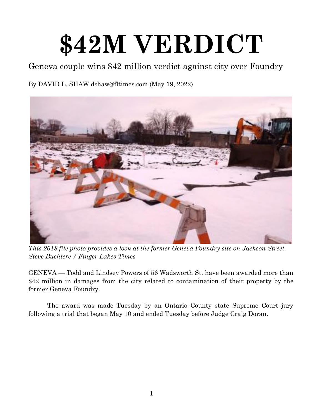## **\$42M VERDICT**

Geneva couple wins \$42 million verdict against city over Foundry

By DAVID L. SHAW dshaw@fltimes.com (May 19, 2022)



*This 2018 file photo provides a look at the former Geneva Foundry site on Jackson Street. Steve Buchiere / Finger Lakes Times* 

GENEVA — Todd and Lindsey Powers of 56 Wadsworth St. have been awarded more than \$42 million in damages from the city related to contamination of their property by the former Geneva Foundry.

The award was made Tuesday by an Ontario County state Supreme Court jury following a trial that began May 10 and ended Tuesday before Judge Craig Doran.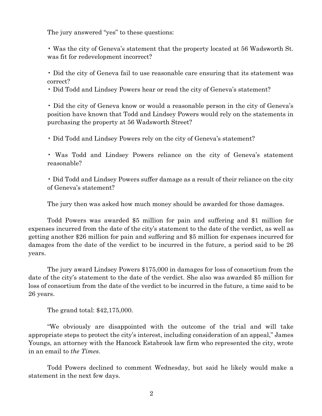The jury answered "yes" to these questions:

• Was the city of Geneva's statement that the property located at 56 Wadsworth St. was fit for redevelopment incorrect?

• Did the city of Geneva fail to use reasonable care ensuring that its statement was correct?

• Did Todd and Lindsey Powers hear or read the city of Geneva's statement?

• Did the city of Geneva know or would a reasonable person in the city of Geneva's position have known that Todd and Lindsey Powers would rely on the statements in purchasing the property at 56 Wadsworth Street?

• Did Todd and Lindsey Powers rely on the city of Geneva's statement?

• Was Todd and Lindsey Powers reliance on the city of Geneva's statement reasonable?

• Did Todd and Lindsey Powers suffer damage as a result of their reliance on the city of Geneva's statement?

The jury then was asked how much money should be awarded for those damages.

Todd Powers was awarded \$5 million for pain and suffering and \$1 million for expenses incurred from the date of the city's statement to the date of the verdict, as well as getting another \$26 million for pain and suffering and \$5 million for expenses incurred for damages from the date of the verdict to be incurred in the future, a period said to be 26 years.

The jury award Lindsey Powers \$175,000 in damages for loss of consortium from the date of the city's statement to the date of the verdict. She also was awarded \$5 million for loss of consortium from the date of the verdict to be incurred in the future, a time said to be 26 years.

The grand total: \$42,175,000.

"We obviously are disappointed with the outcome of the trial and will take appropriate steps to protect the city's interest, including consideration of an appeal," James Youngs, an attorney with the Hancock Estabrook law firm who represented the city, wrote in an email to *the Times*.

Todd Powers declined to comment Wednesday, but said he likely would make a statement in the next few days.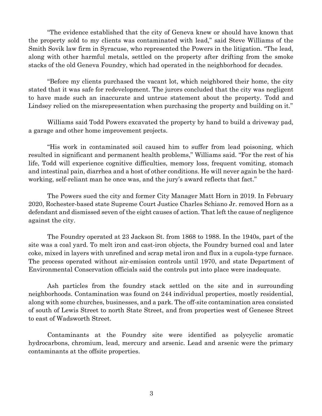"The evidence established that the city of Geneva knew or should have known that the property sold to my clients was contaminated with lead," said Steve Williams of the Smith Sovik law firm in Syracuse, who represented the Powers in the litigation. "The lead, along with other harmful metals, settled on the property after drifting from the smoke stacks of the old Geneva Foundry, which had operated in the neighborhood for decades.

"Before my clients purchased the vacant lot, which neighbored their home, the city stated that it was safe for redevelopment. The jurors concluded that the city was negligent to have made such an inaccurate and untrue statement about the property. Todd and Lindsey relied on the misrepresentation when purchasing the property and building on it."

Williams said Todd Powers excavated the property by hand to build a driveway pad, a garage and other home improvement projects.

"His work in contaminated soil caused him to suffer from lead poisoning, which resulted in significant and permanent health problems," Williams said. "For the rest of his life, Todd will experience cognitive difficulties, memory loss, frequent vomiting, stomach and intestinal pain, diarrhea and a host of other conditions. He will never again be the hardworking, self-reliant man he once was, and the jury's award reflects that fact."

The Powers sued the city and former City Manager Matt Horn in 2019. In February 2020, Rochester-based state Supreme Court Justice Charles Schiano Jr. removed Horn as a defendant and dismissed seven of the eight causes of action. That left the cause of negligence against the city.

The Foundry operated at 23 Jackson St. from 1868 to 1988. In the 1940s, part of the site was a coal yard. To melt iron and cast-iron objects, the Foundry burned coal and later coke, mixed in layers with unrefined and scrap metal iron and flux in a cupola-type furnace. The process operated without air-emission controls until 1970, and state Department of Environmental Conservation officials said the controls put into place were inadequate.

Ash particles from the foundry stack settled on the site and in surrounding neighborhoods. Contamination was found on 244 individual properties, mostly residential, along with some churches, businesses, and a park. The off-site contamination area consisted of south of Lewis Street to north State Street, and from properties west of Genesee Street to east of Wadsworth Street.

Contaminants at the Foundry site were identified as polycyclic aromatic hydrocarbons, chromium, lead, mercury and arsenic. Lead and arsenic were the primary contaminants at the offsite properties.